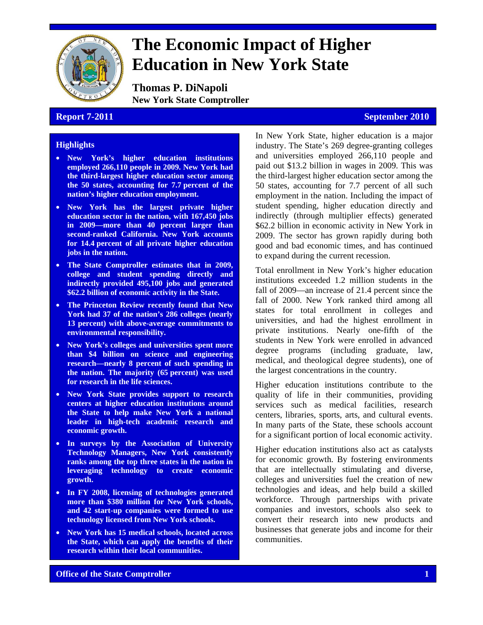

# **The Economic Impact of Higher Education in New York State**

**Thomas P. DiNapoli New York State Comptroller** 

#### **Report 7-2011** September 2010

#### **Highlights**

- **New York's higher education institutions employed 266,110 people in 2009. New York had the third-largest higher education sector among the 50 states, accounting for 7.7 percent of the nation's higher education employment.**
- **New York has the largest private higher education sector in the nation, with 167,450 jobs in 2009—more than 40 percent larger than second-ranked California. New York accounts for 14.4 percent of all private higher education jobs in the nation.**
- **The State Comptroller estimates that in 2009, college and student spending directly and indirectly provided 495,100 jobs and generated \$62.2 billion of economic activity in the State.**
- **The Princeton Review recently found that New York had 37 of the nation's 286 colleges (nearly 13 percent) with above-average commitments to environmental responsibility.**
- **New York's colleges and universities spent more than \$4 billion on science and engineering research—nearly 8 percent of such spending in the nation. The majority (65 percent) was used for research in the life sciences.**
- **New York State provides support to research centers at higher education institutions around the State to help make New York a national leader in high-tech academic research and economic growth.**
- **In surveys by the Association of University Technology Managers, New York consistently ranks among the top three states in the nation in leveraging technology to create economic growth.**
- **In FY 2008, licensing of technologies generated more than \$380 million for New York schools, and 42 start-up companies were formed to use technology licensed from New York schools.**
- **New York has 15 medical schools, located across the State, which can apply the benefits of their research within their local communities.**

In New York State, higher education is a major industry. The State's 269 degree-granting colleges and universities employed 266,110 people and paid out \$13.2 billion in wages in 2009. This was the third-largest higher education sector among the 50 states, accounting for 7.7 percent of all such employment in the nation. Including the impact of student spending, higher education directly and indirectly (through multiplier effects) generated \$62.2 billion in economic activity in New York in 2009. The sector has grown rapidly during both good and bad economic times, and has continued to expand during the current recession.

Total enrollment in New York's higher education institutions exceeded 1.2 million students in the fall of 2009—an increase of 21.4 percent since the fall of 2000. New York ranked third among all states for total enrollment in colleges and universities, and had the highest enrollment in private institutions. Nearly one-fifth of the students in New York were enrolled in advanced degree programs (including graduate, law, medical, and theological degree students), one of the largest concentrations in the country.

Higher education institutions contribute to the quality of life in their communities, providing services such as medical facilities, research centers, libraries, sports, arts, and cultural events. In many parts of the State, these schools account for a significant portion of local economic activity.

Higher education institutions also act as catalysts for economic growth. By fostering environments that are intellectually stimulating and diverse, colleges and universities fuel the creation of new technologies and ideas, and help build a skilled workforce. Through partnerships with private companies and investors, schools also seek to convert their research into new products and businesses that generate jobs and income for their communities.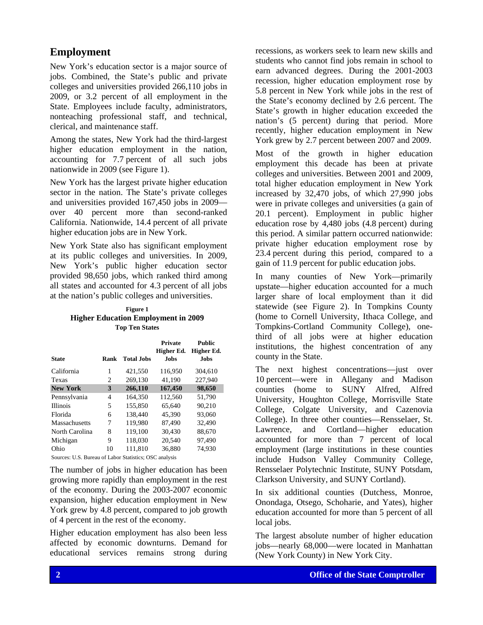# **Employment**

New York's education sector is a major source of jobs. Combined, the State's public and private colleges and universities provided 266,110 jobs in 2009, or 3.2 percent of all employment in the State. Employees include faculty, administrators, nonteaching professional staff, and technical, clerical, and maintenance staff.

Among the states, New York had the third-largest higher education employment in the nation, accounting for 7.7 percent of all such jobs nationwide in 2009 (see Figure 1).

New York has the largest private higher education sector in the nation. The State's private colleges and universities provided 167,450 jobs in 2009 over 40 percent more than second-ranked California. Nationwide, 14.4 percent of all private higher education jobs are in New York.

New York State also has significant employment at its public colleges and universities. In 2009, New York's public higher education sector provided 98,650 jobs, which ranked third among all states and accounted for 4.3 percent of all jobs at the nation's public colleges and universities.

#### **Higher Education Employment in 2009 Figure 1 Top Ten States**

|                                                        |                |                   | <b>Private</b> | <b>Public</b> |
|--------------------------------------------------------|----------------|-------------------|----------------|---------------|
|                                                        |                |                   | Higher Ed.     | Higher Ed.    |
| State                                                  | Rank           | <b>Total Jobs</b> | Jobs.          | <b>Jobs</b>   |
| California                                             | 1              | 421,550           | 116,950        | 304.610       |
| Texas                                                  | $\overline{c}$ | 269,130           | 41.190         | 227.940       |
| <b>New York</b>                                        | 3              | 266,110           | 167,450        | 98,650        |
| Pennsylvania                                           | 4              | 164.350           | 112,560        | 51,790        |
| <b>Illinois</b>                                        | 5              | 155,850           | 65.640         | 90.210        |
| Florida                                                | 6              | 138,440           | 45.390         | 93,060        |
| Massachusetts                                          | 7              | 119.980           | 87.490         | 32.490        |
| North Carolina                                         | 8              | 119.100           | 30.430         | 88.670        |
| Michigan                                               | 9              | 118.030           | 20.540         | 97.490        |
| Ohio                                                   | 10             | 111.810           | 36,880         | 74,930        |
| Sources: U.S. Bureau of Labor Statistics; OSC analysis |                |                   |                |               |

The number of jobs in higher education has been growing more rapidly than employment in the rest of the economy. During the 2003-2007 economic expansion, higher education employment in New York grew by 4.8 percent, compared to job growth of 4 percent in the rest of the economy.

Higher education employment has also been less affected by economic downturns. Demand for educational services remains strong during

recessions, as workers seek to learn new skills and students who cannot find jobs remain in school to earn advanced degrees. During the 2001-2003 recession, higher education employment rose by 5.8 percent in New York while jobs in the rest of the State's economy declined by 2.6 percent. The State's growth in higher education exceeded the nation's (5 percent) during that period. More recently, higher education employment in New York grew by 2.7 percent between 2007 and 2009.

Most of the growth in higher education employment this decade has been at private colleges and universities. Between 2001 and 2009, total higher education employment in New York increased by 32,470 jobs, of which 27,990 jobs were in private colleges and universities (a gain of 20.1 percent). Employment in public higher education rose by 4,480 jobs (4.8 percent) during this period. A similar pattern occurred nationwide: private higher education employment rose by 23.4 percent during this period, compared to a gain of 11.9 percent for public education jobs.

In many counties of New York—primarily upstate—higher education accounted for a much larger share of local employment than it did statewide (see Figure 2). In Tompkins County (home to Cornell University, Ithaca College, and Tompkins-Cortland Community College), onethird of all jobs were at higher education institutions, the highest concentration of any county in the State.

The next highest concentrations—just over 10 percent—were in Allegany and Madison counties (home to SUNY Alfred, Alfred University, Houghton College, Morrisville State College, Colgate University, and Cazenovia College). In three other counties—Rensselaer, St. Lawrence, and Cortland—higher education accounted for more than 7 percent of local employment (large institutions in these counties include Hudson Valley Community College, Rensselaer Polytechnic Institute, SUNY Potsdam, Clarkson University, and SUNY Cortland).

In six additional counties (Dutchess, Monroe, Onondaga, Otsego, Schoharie, and Yates), higher education accounted for more than 5 percent of all local jobs.

The largest absolute number of higher education jobs—nearly 68,000—were located in Manhattan (New York County) in New York City.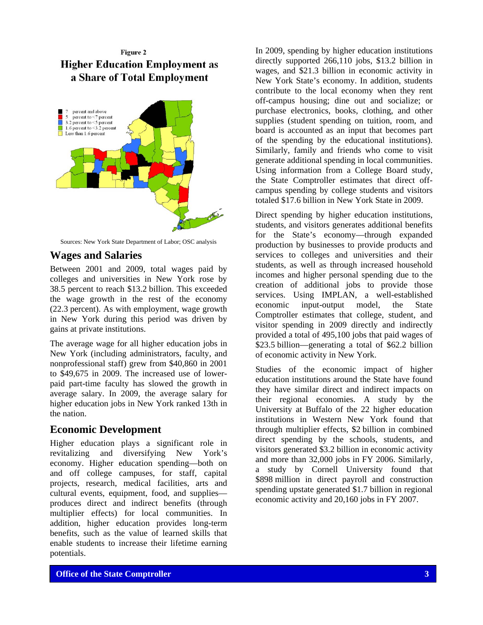# Figure 2 **Higher Education Employment as** a Share of Total Employment



Sources: New York State Department of Labor; OSC analysis

### **Wages and Salaries**

Between 2001 and 2009, total wages paid by colleges and universities in New York rose by 38.5 percent to reach \$13.2 billion. This exceeded the wage growth in the rest of the economy (22.3 percent). As with employment, wage growth in New York during this period was driven by gains at private institutions.

The average wage for all higher education jobs in New York (including administrators, faculty, and nonprofessional staff) grew from \$40,860 in 2001 to \$49,675 in 2009. The increased use of lowerpaid part-time faculty has slowed the growth in average salary. In 2009, the average salary for higher education jobs in New York ranked 13th in the nation.

#### **Economic Development**

Higher education plays a significant role in revitalizing and diversifying New York's economy. Higher education spending—both on and off college campuses, for staff, capital projects, research, medical facilities, arts and cultural events, equipment, food, and supplies produces direct and indirect benefits (through multiplier effects) for local communities. In addition, higher education provides long-term benefits, such as the value of learned skills that enable students to increase their lifetime earning potentials.

In 2009, spending by higher education institutions directly supported 266,110 jobs, \$13.2 billion in wages, and \$21.3 billion in economic activity in New York State's economy. In addition, students contribute to the local economy when they rent off-campus housing; dine out and socialize; or purchase electronics, books, clothing, and other supplies (student spending on tuition, room, and board is accounted as an input that becomes part of the spending by the educational institutions). Similarly, family and friends who come to visit generate additional spending in local communities. Using information from a College Board study, the State Comptroller estimates that direct offcampus spending by college students and visitors totaled \$17.6 billion in New York State in 2009.

Direct spending by higher education institutions, students, and visitors generates additional benefits for the State's economy—through expanded production by businesses to provide products and services to colleges and universities and their students, as well as through increased household incomes and higher personal spending due to the creation of additional jobs to provide those services. Using IMPLAN, a well-established economic input-output model, the State Comptroller estimates that college, student, and visitor spending in 2009 directly and indirectly provided a total of 495,100 jobs that paid wages of \$23.5 billion—generating a total of \$62.2 billion of economic activity in New York.

Studies of the economic impact of higher education institutions around the State have found they have similar direct and indirect impacts on their regional economies. A study by the University at Buffalo of the 22 higher education institutions in Western New York found that through multiplier effects, \$2 billion in combined direct spending by the schools, students, and visitors generated \$3.2 billion in economic activity and more than 32,000 jobs in FY 2006. Similarly, a study by Cornell University found that \$898 million in direct payroll and construction spending upstate generated \$1.7 billion in regional economic activity and 20,160 jobs in FY 2007.